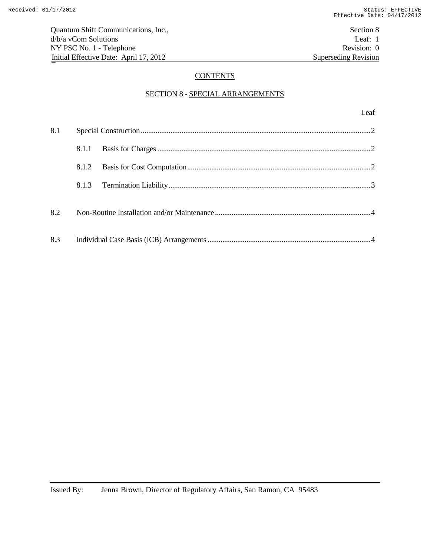# **CONTENTS**

# SECTION 8 - SPECIAL ARRANGEMENTS

| 8.1 |       |  |  |
|-----|-------|--|--|
|     | 8.1.1 |  |  |
|     | 8.1.2 |  |  |
|     |       |  |  |
| 8.2 |       |  |  |
| 8.3 |       |  |  |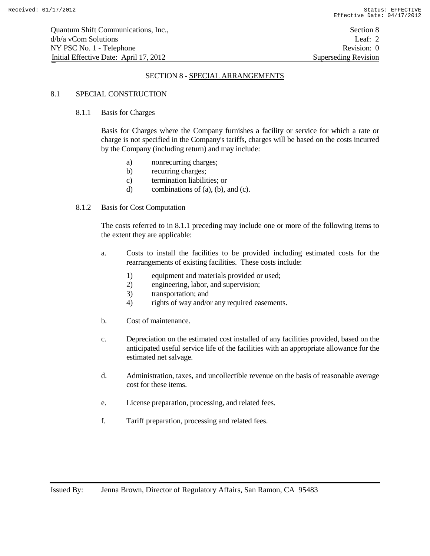# SECTION 8 - SPECIAL ARRANGEMENTS

# 8.1 SPECIAL CONSTRUCTION

#### 8.1.1 Basis for Charges

Basis for Charges where the Company furnishes a facility or service for which a rate or charge is not specified in the Company's tariffs, charges will be based on the costs incurred by the Company (including return) and may include:

- a) nonrecurring charges;
- b) recurring charges;
- c) termination liabilities; or
- d) combinations of (a), (b), and (c).

#### 8.1.2 Basis for Cost Computation

The costs referred to in 8.1.1 preceding may include one or more of the following items to the extent they are applicable:

- a. Costs to install the facilities to be provided including estimated costs for the rearrangements of existing facilities. These costs include:
	- 1) equipment and materials provided or used;
	- 2) engineering, labor, and supervision;
	- 3) transportation; and
	- 4) rights of way and/or any required easements.
- b. Cost of maintenance.
- c. Depreciation on the estimated cost installed of any facilities provided, based on the anticipated useful service life of the facilities with an appropriate allowance for the estimated net salvage.
- d. Administration, taxes, and uncollectible revenue on the basis of reasonable average cost for these items.
- e. License preparation, processing, and related fees.
- f. Tariff preparation, processing and related fees.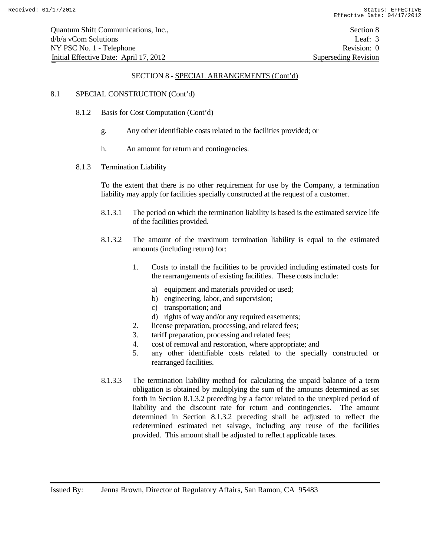#### SECTION 8 - SPECIAL ARRANGEMENTS (Cont'd)

### 8.1 SPECIAL CONSTRUCTION (Cont'd)

- 8.1.2 Basis for Cost Computation (Cont'd)
	- g. Any other identifiable costs related to the facilities provided; or
	- h. An amount for return and contingencies.
- 8.1.3 Termination Liability

To the extent that there is no other requirement for use by the Company, a termination liability may apply for facilities specially constructed at the request of a customer.

- 8.1.3.1 The period on which the termination liability is based is the estimated service life of the facilities provided.
- 8.1.3.2 The amount of the maximum termination liability is equal to the estimated amounts (including return) for:
	- 1. Costs to install the facilities to be provided including estimated costs for the rearrangements of existing facilities. These costs include:
		- a) equipment and materials provided or used;
		- b) engineering, labor, and supervision;
		- c) transportation; and
		- d) rights of way and/or any required easements;
	- 2. license preparation, processing, and related fees;
	- 3. tariff preparation, processing and related fees;
	- 4. cost of removal and restoration, where appropriate; and
	- 5. any other identifiable costs related to the specially constructed or rearranged facilities.
- 8.1.3.3 The termination liability method for calculating the unpaid balance of a term obligation is obtained by multiplying the sum of the amounts determined as set forth in Section 8.1.3.2 preceding by a factor related to the unexpired period of liability and the discount rate for return and contingencies. The amount determined in Section 8.1.3.2 preceding shall be adjusted to reflect the redetermined estimated net salvage, including any reuse of the facilities provided. This amount shall be adjusted to reflect applicable taxes.